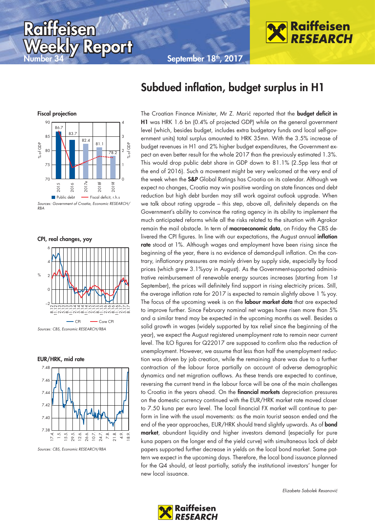September 18<sup>th</sup>, 2017



# Subdued inflation, budget surplus in H1

The Croatian Finance Minister, Mr Z. Marić reported that the **budget deficit in** H1 was HRK 1.6 bn (0.4% of projected GDP) while on the general government level (which, besides budget, includes extra budgetary funds and local self-government units) total surplus amounted to HRK 35mn. With the 3.5% increase of budget revenues in H1 and 2% higher budget expenditures, the Government expect an even better result for the whole 2017 than the previously estimated 1.3%. This would drop public debt share in GDP down to 81.1% (2.5pp less that at the end of 2016). Such a movement might be very welcomed at the very end of the week when the S&P Global Ratings has Croatia on its calendar. Although we expect no changes, Croatia may win positive wording on state finances and debt reduction but high debt burden may still work against outlook upgrade. When we talk about rating upgrade – this step, above all, definitely depends on the Government's ability to convince the rating agency in its ability to implement the much anticipated reforms while all the risks related to the situation with Agrokor remain the mail obstacle. In term of macroeconomic data, on Friday the CBS delivered the CPI figures. In line with our expectations, the August annual inflation rate stood at 1%. Although wages and employment have been rising since the beginning of the year, there is no evidence of demand-pull inflation. On the contrary, inflationary pressures are mainly driven by supply side, especially by food prices (which grew 3.1%yoy in August). As the Government-supported administrative reimbursement of renewable energy sources increases (starting from 1st September), the prices will definitely find support in rising electricity prices. Still, the average inflation rate for 2017 is expected to remain slightly above 1 % yoy. The focus of the upcoming week is on the labour market data that are expected to improve further. Since February nominal net wages have risen more than 5% and a similar trend may be expected in the upcoming months as well. Besides a solid growth in wages (widely supported by tax relief since the beginning of the year), we expect the August registered unemployment rate to remain near current level. The ILO figures for Q22017 are supposed to confirm also the reduction of unemployment. However, we assume that less than half the unemployment reduction was driven by job creation, while the remaining share was due to a further contraction of the labour force partially on account of adverse demographic dynamics and net migration outflows. As these trends are expected to continue, reversing the current trend in the labour force will be one of the main challenges to Croatia in the years ahead. On the **financial markets** depreciation pressures on the domestic currency continued with the EUR/HRK market rate moved closer to 7.50 kuna per euro level. The local financial FX market will continue to perform in line with the usual movements: as the main tourist season ended and the end of the year approaches, EUR/HRK should trend slightly upwards. As of **bond** market, abundant liquidity and higher investors demand (especially for pure kuna papers on the longer end of the yield curve) with simultaneous lack of debt papers supported further decrease in yields on the local bond market. Same pattern we expect in the upcoming days. Therefore, the local bond issuance planned for the Q4 should, at least partially, satisfy the institutional investors' hunger for new local issuance.



**Report** 

Sources: Government of Croatia, Economic RESEARCH/ RBA

CPI, real changes, yoy

Roilitaisen



Sources: CBS, Economic RESEARCH/RBA

EUR/HRK, mid rate



Sources: CBS, Economic RESEARCH/RBA

Elizabeta Sabolek Resanović

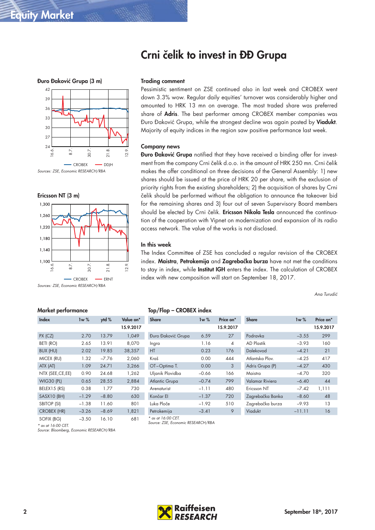### Crni čelik to invest in ĐĐ Grupa





#### Market performance

| Index              | 1w %    | ytd %   | Value on* |
|--------------------|---------|---------|-----------|
|                    |         |         | 15.9.2017 |
| PX (CZ)            | 2.70    | 13.79   | 1,049     |
| BETI (RO)          | 2.65    | 13.91   | 8,070     |
| <b>BUX (HU)</b>    | 2.02    | 19.85   | 38,357    |
| MICEX (RU)         | 1.32    | $-7.76$ | 2,060     |
| ATX (AT)           | 1.09    | 24.71   | 3,266     |
| NTX (SEE, CE, EE)  | 0.90    | 24.68   | 1,262     |
| <b>WIG30 (PL)</b>  | 0.65    | 28.55   | 2,884     |
| BELEX15 (RS)       | 0.38    | 1.77    | 730       |
| SASX10 (BH)        | $-1.29$ | $-8.80$ | 630       |
| <b>SBITOP (SI)</b> | $-1.38$ | 11.60   | 801       |
| <b>CROBEX (HR)</b> | $-3.26$ | $-8.69$ | 1,821     |
| SOFIX (BG)         | $-3.50$ | 16.10   | 681       |

\* as at 16:00 CET.

Source: Bloomberg, Economic RESEARCH/RBA

#### Trading comment

Pessimistic sentiment on ZSE continued also in last week and CROBEX went down 3.3% wow. Regular daily equities' turnover was considerably higher and amounted to HRK 13 mn on average. The most traded share was preferred share of **Adris**. The best performer among CROBEX member companies was Đuro Đaković Grupa, while the strongest decline was again posted by Viadukt. Majority of equity indices in the region saw positive performance last week.

#### Company news

Đuro Đaković Grupa notified that they have received a binding offer for investment from the company Crni čelik d.o.o. in the amount of HRK 250 mn. Crni čelik makes the offer conditional on three decisions of the General Assembly: 1) new shares should be issued at the price of HRK 20 per share, with the exclusion of priority rights from the existing shareholders; 2) the acquisition of shares by Crni čelik should be performed without the obligation to announce the takeover bid for the remaining shares and 3) four out of seven Supervisory Board members should be elected by Crni čelik. Ericsson Nikola Tesla announced the continuation of the cooperation with Vipnet on modernization and expansion of its radio access network. The value of the works is not disclosed.

#### In this week

The Index Committee of ZSE has concluded a regular revision of the CROBEX index. Maistra, Petrokemija and Zagrebačka burza have not met the conditions to stay in index, while Institut IGH enters the index. The calculation of CROBEX index with new composition will start on September 18, 2017.

Ana Turudić

| <b>Share</b>          | 1w%       | Price on* | <b>Share</b>     | 1w%     | Price on <sup>*</sup> |
|-----------------------|-----------|-----------|------------------|---------|-----------------------|
|                       |           | 15.9.2017 |                  |         | 15.9.201              |
| Đuro Đaković Grupa    | 6.59      | 27        | Podravka         | $-3.55$ | 299                   |
| Ingra                 | 1.16      | 4         | AD Plastik       | $-3.93$ | 160                   |
| <b>HT</b>             | 0.23      | 176       | Dalekovod        | $-4.21$ | 21                    |
| Kraš                  | 0.00      | 444       | Atlantska Plov.  | $-4.25$ | 417                   |
| OT-Optima T.          | 0.00      | 3         | Adris Grupa (P)  | $-4.27$ | 430                   |
| Uljanik Plovidba      | $-0.66$   | 166       | Maistra          | $-4.70$ | 320                   |
| <b>Atlantic Grupa</b> | $-0.74$   | 799       | Valamar Riviera  | $-6.40$ | 44                    |
| Arenaturist           | $-1.11$   | 480       | Ericsson NT      | $-7.42$ | 1,111                 |
| Končar El             | $-1.37$   | 720       | Zagrebačka Banka | $-8.60$ | 48                    |
| Luka Ploče            | $-1.92$   | 510       | Zagrebačka burza | $-9.93$ | 13                    |
| Patrokamija           | $-3$ $11$ | $\circ$   | Vindukt          | -11-11  | 16                    |

|         | Price on*                | <b>Share</b>     | 1w%      | Price on* |
|---------|--------------------------|------------------|----------|-----------|
|         | 15.9.2017                |                  |          | 15.9.2017 |
| 6.59    | 27                       | Podravka         | $-3.55$  | 299       |
| 1.16    | $\overline{\mathcal{A}}$ | AD Plastik       | $-3.93$  | 160       |
| 0.23    | 176                      | Dalekovod        | $-4.21$  | 21        |
| 0.00    | 444                      | Atlantska Plov.  | $-4.25$  | 417       |
| 0.00    | 3                        | Adris Grupa (P)  | $-4.27$  | 430       |
| $-0.66$ | 166                      | Maistra          | $-4.70$  | 320       |
| $-0.74$ | 799                      | Valamar Riviera  | $-6.40$  | 44        |
| $-1.11$ | 480                      | Ericsson NT      | $-7.42$  | 1,111     |
| $-1.37$ | 720                      | Zagrebačka Banka | $-8.60$  | 48        |
| $-1.92$ | 510                      | Zagrebačka burza | $-9.93$  | 13        |
| $-3.41$ | 9                        | Viadukt          | $-11.11$ | 16        |
|         | 1w%                      |                  |          |           |

Source: ZSE, Economic RESEARCH/RBA

\* as at 16:00 CET.

Top/Flop – CROBEX index

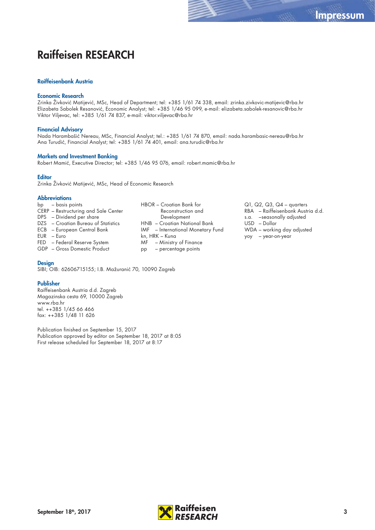### Raiffeisen RESEARCH

#### Raiffeisenbank Austria

#### Economic Research

Zrinka Živković Matijević, MSc, Head of Department; tel: +385 1/61 74 338, email: zrinka.zivkovic-matijevic@rba.hr Elizabeta Sabolek Resanović, Economic Analyst; tel: +385 1/46 95 099, e-mail: elizabeta.sabolek-resanovic@rba.hr Viktor Viljevac, tel: +385 1/61 74 837, e-mail: viktor.viljevac@rba.hr

#### Financial Advisory

Nada Harambašić Nereau, MSc, Financial Analyst; tel.: +385 1/61 74 870, email: nada.harambasic-nereau@rba.hr Ana Turudić, Financial Analyst; tel: +385 1/61 74 401, email: ana.turudic@rba.hr

#### Markets and Investment Banking

Robert Mamić, Executive Director; tel: +385 1/46 95 076, email: robert.mamic@rba.hr

#### **Editor**

Zrinka Živković Matijević, MSc, Head of Economic Research

#### **Abbreviations**

- bp basis points CERP – Restructuring and Sale Center DPS – Dividend per share DZS – Croatian Bureau of Statistics ECB – European Central Bank EUR – Euro
- FED Federal Reserve System
- GDP Gross Domestic Product

#### **Design**

SIBI; OIB: 62606715155; I.B. Mažuranić 70, 10090 Zagreb

#### Publisher

Raiffeisenbank Austria d.d. Zagreb Magazinska cesta 69, 10000 Zagreb www.rba.hr tel. ++385 1/45 66 466 fax: ++385 1/48 11 626

Publication finished on September 15, 2017 Publication approved by editor on September 18, 2017 at 8:05 First release scheduled for September 18, 2017 at 8:17

- HBOR Croatian Bank for Reconstruction and Development HNB – Croatian National Bank IMF – International Monetary Fund kn, HRK – Kuna MF – Ministry of Finance pp – percentage points
- Q1, Q2, Q3, Q4 quarters RBA – Raiffeisenbank Austria d.d. s.a. –seasonally adjusted USD – Dollar WDA – working day adjusted yoy – year-on-year

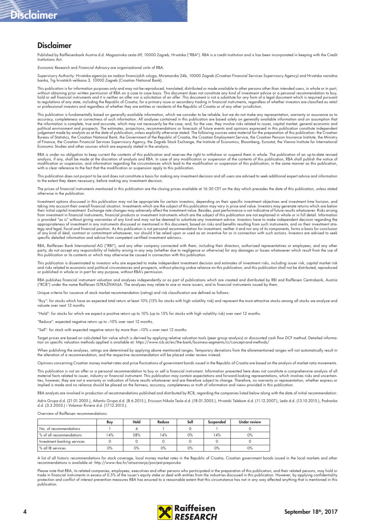## Disclaimer

### Disclaimer

Published by Raiffeisenbank Austria d.d. Magazinska cesta 69, 10000 Zagreb, Hrvatska ("RBA"). RBA is a credit institution and is has been incorporated in keeping with the Credit Institutions Act.

Economic Research and Financial Advisory are organizational units of RBA.

Supervisory Authority: Hrvatska agencija za nadzor financijskih usluga, Miramarska 24b, 10000 Zagreb (Croatian Financial Services Supervisory Agency) and Hrvatska narodna<br>banka, Trg hrvatskih velikana 3, 10000 Zagreb (Croa

This publication is for information purposes only and may not be reproduced, translated, distributed or made available to other persons other than intended users, in whole or in part, without obtaining prior written permission of RBA on a case to case basis. This document does not constitute any kind of investment advice or a personal recommendation to buy,<br>hold or sell financial instruments and it is n or professional investors and regardless of whether they are entities or residents of the Republic of Croatia or of any other jurisdiction.

This publication is fundamentally based on generally available information, which we consider to be reliable, but we do not make any representation, warranty or assurance as to accuracy, completeness or correctness of such information. All analyses contained in this publication are based solely on generally available information and on assumption that<br>the information is complete, true and accurat political environment and prospects. The estimates, projections, recommendations or forecasts of future events and opinions expressed in this publication constitute independent<br>judgement made by analysts as at the date of Bureau of Statistics, the Croatian National Bank, the Government of the Republic of Croatia, the Croatian Employment Service, the Croatian Pension Insurance Institute, the Ministry of Finance, the Croatian Financial Services Supervisory Agency, the Zagreb Stock Exchange, the Institute of Economics, Bloomberg, Eurostat, the Vienna Institute for International<br>Economic Studies and other sources which ar

RBA is under no obligation to keep current the contents of this publication and reserves the right to withdraw or suspend them in whole. The publication of an up-to-date revised analysis, if any, shall be made at the discretion of analysts and RBA. In case of any modification or suspension of the contents of this publication, RBA shall publish the notice of modification or suspension, and information regarding the circumstances which lead to the modification or suspension of this publication, in the same manner as this publication,<br>with a clear reference to the fact that the

This publication does not purport to be and does not constitute a basis for making any investment decision and all users are advised to seek additional expert advice and information to the extent they deem necessary, before making any investment decision.

The prices of financial instruments mentioned in this publication are the closing prices available at 16:30 CET on the day which precedes the date of this publication, unless stated otherwise in the publication.

Investment options discussed in this publication may not be appropriate for certain investors, depending on their specific investment objectives and investment time horizon, and taking into account their overall financial situation. Investments which are the subject of this publication may vary in price and value. Investors may generate returns which are below<br>their initial capital investment. Exc from investment in financial instruments, financial products or investment instruments which are the subject of this publication are not explained in whole or in full detail. Information is provided "as is" without giving warranties of any kind and may not be deemed to substitute any investment advice. Investors have to make independent decision regarding the appropriateness of investment in any instruments discussed or mentioned in this document, based on risks and benefits resulting from such instruments, and on their investment strategy and legal, fiscal and financial position. As this publication is not personal recommendation for investment, neither it and nor any of its components, forms a basis for conclusion<br>of any kind of deal, contract or comm specific detailed information and advice from competent certified investment advisors.

RBA, Raiffeisen Bank International AG ("RBI"), and any other company connected with them, including their directors, authorized representatives or employees, and any other<br>party, do not accept any responsibility of liabili

This publication is disseminated to investors who are expected to make independent investment decision and estimates of investment risks, including issuer risk, capital market risk and risks related to economic and political circumstances and prospects, without placing undue reliance on this publication, and this publication shall not be distributed, reproduced<br>or published in whole or in part for an

RBA publishes tinancial instrument valuation and analyses independently or as part ot publications which are created and distributed by RBI and Raitleisen Centrobank, Austria<br>("RCB") under the name Raiffeisen ISTRAŽIVANJA.

e criteria for issuance of stock market recommendation (rating) and risk classification are defined as follows:

"Buy": for stocks which have an expected total return at least 10% (15% for stocks with high volatility risk) and represent the most attractive stocks among all stocks we analyze and valuate over next 12 months

"Hold": for stocks for which we expect a positive return up to 10% (up to 15% for stocks with high volatility risk) over next 12 months.

"Reduce": expected negative return up to –10% over next 12 months.

"Sell": for stock with expected negative return by more than –10% u over next 12 months.

Target prices are based on calculated fair value which is derived by applying relative valuation tools (peer group analysis) or discounted cash flow DCF method. Detailed informa:<br>tion on specific valuation methods applied

When publishing the analyses, ratings are determined by applying above mentioned ranges. Temporary deviations from the aforementioned ranges will not automatically result in<br>the alteration of a recommendation, and the resp

Opinions concerning Croatian money market rates and price fluctuations of government bonds issued in the Republic of Croatia are based on the analysis of market ratio movements.

This publication is not an offer or a personal recommendation to buy or sell a financial instrument. Information presented here does not constitute a comprehensive analysis of all material facts related to issuer, industry or financial instrument. This publication may contain expectations and forward-looking representations, which involves risks and uncertainties, however, they are not a warranty or indication of future results whatsoever and are therefore subject to change. Therefore, no warranty or representation, whether express or<br>implied is made and no reliance should be

RBA analysts are involved in production of recommendations published and distributed by RCB, regarding the companies listed below along with the date of initial recommendation:

Adris Grupa d.d. (21.01.2005.), Atlantic Grupa d.d. (8.6.2015.), Ericsson Nikola Tesla d.d. (18.01.2005.), Hrvatski Telekom d.d. (11.12.2007.), Ledo d.d. (13.10.2015.), Podravka<br>d.d. (3.3.2003.) i Valamar Riviera d.d. (17.

Overview of Raiffeisen recommendations

|                             | Buy | Hold | Reduce | Sell | Suspended | <b>Under review</b> |
|-----------------------------|-----|------|--------|------|-----------|---------------------|
| No. of recommendations      |     |      |        |      |           |                     |
| % of all recommendations    | 4%  | 58%  | 14%    | 0%   | 14%       | $0\%$               |
| Investment banking services |     |      |        |      |           |                     |
| % all IB services           | 0%  | 0%   | 0%     | 0%   | 0%        | 0%                  |

A list of all historic recommendations for stock coverage, local money market rates in the Republic of Croatia, Croatian government bonds issued in the local markets and other<br>recommendations is available at: http://www.rb

Please note that RBA, its related companies, employees, executives and other persons who participated in the preparation of this publication, and their related persons, may hold or<br>trade in financial instruments in excess protection and conflict of interest prevention measures RBA has ensured to a reasonable extent that this circumstance has not in any way affected anything that is mentioned in this publication.